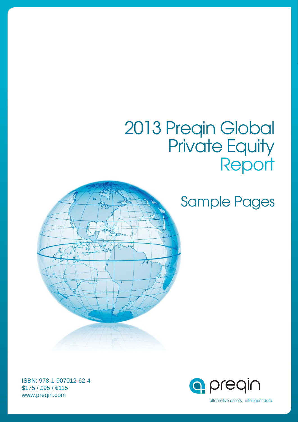# 2013 Preqin Global Private Equity Report

# Sample Pages





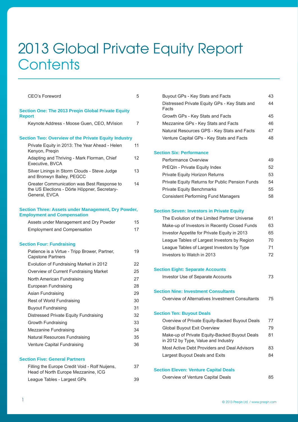# 2013 Global Private Equity Report **Contents**

| CFO's Foreword                                                                                              | 5  |
|-------------------------------------------------------------------------------------------------------------|----|
| <b>Section One: The 2013 Pregin Global Private Equity</b><br><b>Report</b>                                  |    |
| Keynote Address - Moose Guen, CEO, MVision                                                                  | 7  |
| <b>Section Two: Overview of the Private Equity Industry</b>                                                 |    |
| Private Equity in 2013: The Year Ahead - Helen<br>Kenyon, Preqin                                            | 11 |
| Adapting and Thriving - Mark Florman, Chief<br>Executive, BVCA                                              | 12 |
| Silver Linings in Storm Clouds - Steve Judge<br>and Bronwyn Bailey, PEGCC                                   | 13 |
| Greater Communication was Best Response to<br>the US Elections - Dörte Höppner, Secretary-<br>General, EVCA | 14 |
| <b>Section Three: Assets under Management, Dry Powder,</b><br><b>Employment and Compensation</b>            |    |
| Assets under Management and Dry Powder                                                                      | 15 |
| <b>Employment and Compensation</b>                                                                          | 17 |
| <b>Section Four: Fundraising</b>                                                                            |    |
| Patience is a Virtue - Tripp Brower, Partner,<br><b>Capstone Partners</b>                                   | 19 |
| Evolution of Fundraising Market in 2012                                                                     | 22 |
| Overview of Current Fundraising Market                                                                      | 25 |
| North American Fundraising                                                                                  | 27 |
| European Fundraising                                                                                        | 28 |
| Asian Fundraising                                                                                           | 29 |
| Rest of World Fundraising                                                                                   | 30 |
| <b>Buyout Fundraising</b>                                                                                   | 31 |
| Distressed Private Equity Fundraising                                                                       | 32 |
| Growth Fundraising                                                                                          | 33 |
| <b>Mezzanine Fundraising</b>                                                                                | 34 |
| <b>Natural Resources Fundraising</b>                                                                        | 35 |
| Venture Capital Fundraising                                                                                 | 36 |
| <b>Section Five: General Partners</b>                                                                       |    |
| Filling the Europe Credit Void - Rolf Nuijens,<br>Head of North Europe Mezzanine, ICG                       | 37 |
| League Tables - Largest GPs                                                                                 | 39 |

| Buyout GPs - Key Stats and Facts                                                     | 43 |
|--------------------------------------------------------------------------------------|----|
| Distressed Private Equity GPs - Key Stats and<br>Facts                               | 44 |
| Growth GPs - Key Stats and Facts                                                     | 45 |
| Mezzanine GPs - Key Stats and Facts                                                  | 46 |
| Natural Resources GPS - Key Stats and Facts                                          | 47 |
| Venture Capital GPs - Key Stats and Facts                                            | 48 |
| <b>Section Six: Performance</b>                                                      |    |
| Performance Overview                                                                 | 49 |
| PrEQIn - Private Equity Index                                                        | 52 |
| Private Equity Horizon Returns                                                       | 53 |
| Private Equity Returns for Public Pension Funds                                      | 54 |
| <b>Private Equity Benchmarks</b>                                                     | 55 |
| <b>Consistent Performing Fund Managers</b>                                           | 58 |
| <b>Section Seven: Investors in Private Equity</b>                                    |    |
| The Evolution of the Limited Partner Universe                                        | 61 |
| Make-up of Investors in Recently Closed Funds                                        | 63 |
| Investor Appetite for Private Equity in 2013                                         | 65 |
| League Tables of Largest Investors by Region                                         | 70 |
| League Tables of Largest Investors by Type                                           | 71 |
| Investors to Watch in 2013                                                           | 72 |
| <b>Section Eight: Separate Accounts</b>                                              |    |
| <b>Investor Use of Separate Accounts</b>                                             | 73 |
| <b>Section Nine: Investment Consultants</b>                                          |    |
| Overview of Alternatives Investment Consultants                                      | 75 |
| <b>Section Ten: Buyout Deals</b>                                                     |    |
| Overview of Private Equity-Backed Buyout Deals                                       | 77 |
| Global Buyout Exit Overview                                                          | 79 |
| Make-up of Private Equity-Backed Buyout Deals<br>in 2012 by Type, Value and Industry | 81 |
| Most Active Debt Providers and Deal Advisors                                         | 83 |
| Largest Buyout Deals and Exits                                                       | 84 |
| <b>Section Eleven: Venture Capital Deals</b>                                         |    |
| Overview of Venture Capital Deals                                                    | 85 |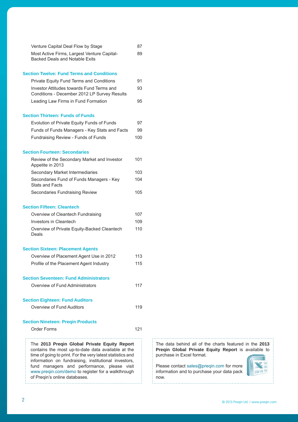| Venture Capital Deal Flow by Stage                                                                                                                                                                                                                                                                                                                               | 87  |
|------------------------------------------------------------------------------------------------------------------------------------------------------------------------------------------------------------------------------------------------------------------------------------------------------------------------------------------------------------------|-----|
| Most Active Firms, Largest Venture Capital-<br><b>Backed Deals and Notable Exits</b>                                                                                                                                                                                                                                                                             | 89  |
| <b>Section Twelve: Fund Terms and Conditions</b>                                                                                                                                                                                                                                                                                                                 |     |
| Private Equity Fund Terms and Conditions                                                                                                                                                                                                                                                                                                                         | 91  |
| Investor Attitudes towards Fund Terms and<br>Conditions - December 2012 LP Survey Results                                                                                                                                                                                                                                                                        | 93  |
| Leading Law Firms in Fund Formation                                                                                                                                                                                                                                                                                                                              | 95  |
| <b>Section Thirteen: Funds of Funds</b>                                                                                                                                                                                                                                                                                                                          |     |
| Evolution of Private Equity Funds of Funds                                                                                                                                                                                                                                                                                                                       | 97  |
| Funds of Funds Managers - Key Stats and Facts                                                                                                                                                                                                                                                                                                                    | 99  |
| Fundraising Review - Funds of Funds                                                                                                                                                                                                                                                                                                                              | 100 |
| <b>Section Fourteen: Secondaries</b>                                                                                                                                                                                                                                                                                                                             |     |
| Review of the Secondary Market and Investor<br>Appetite in 2013                                                                                                                                                                                                                                                                                                  | 101 |
| Secondary Market Intermediaries                                                                                                                                                                                                                                                                                                                                  | 103 |
| Secondaries Fund of Funds Managers - Key<br><b>Stats and Facts</b>                                                                                                                                                                                                                                                                                               | 104 |
| Secondaries Fundraising Review                                                                                                                                                                                                                                                                                                                                   | 105 |
| <b>Section Fifteen: Cleantech</b>                                                                                                                                                                                                                                                                                                                                |     |
| Overview of Cleantech Fundraising                                                                                                                                                                                                                                                                                                                                | 107 |
| Investors in Cleantech                                                                                                                                                                                                                                                                                                                                           | 109 |
| Overview of Private Equity-Backed Cleantech<br>Deals                                                                                                                                                                                                                                                                                                             | 110 |
| <b>Section Sixteen: Placement Agents</b>                                                                                                                                                                                                                                                                                                                         |     |
| Overview of Placement Agent Use in 2012                                                                                                                                                                                                                                                                                                                          | 113 |
| Profile of the Placement Agent Industry                                                                                                                                                                                                                                                                                                                          | 115 |
| <b>Section Seventeen: Fund Administrators</b>                                                                                                                                                                                                                                                                                                                    |     |
| Overview of Fund Administrators                                                                                                                                                                                                                                                                                                                                  | 117 |
| <b>Section Eighteen: Fund Auditors</b>                                                                                                                                                                                                                                                                                                                           |     |
| Overview of Fund Auditors                                                                                                                                                                                                                                                                                                                                        | 119 |
| <b>Section Nineteen: Pregin Products</b>                                                                                                                                                                                                                                                                                                                         |     |
| Order Forms                                                                                                                                                                                                                                                                                                                                                      | 121 |
| The 2013 Preqin Global Private Equity Report<br>contains the most up-to-date data available at the<br>time of going to print. For the very latest statistics and<br>information on fundraising, institutional investors,<br>managers and performance, please visit<br>fund<br>www.preqin.com/demo to register for a walkthrough<br>of Preqin's online databases. |     |

The data behind all of the charts featured in the **2013 Preqin Global Private Equity Report** is available to purchase in Excel format.

Please contact sales@preqin.com for more information and to purchase your data pack now.



. . . . . . . . . . . . . . . .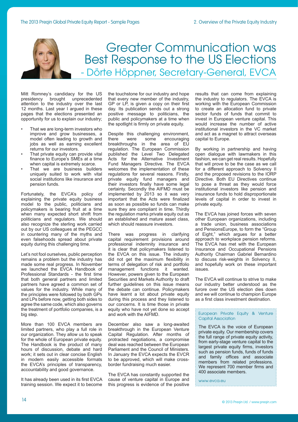

Mitt Romney's candidacy for the US presidency brought unprecedented attention to the industry over the last 12 months. Last year I argued in these pages that the elections presented an opportunity for us to explain our industry;

- That we are long-term investors who improve and grow businesses, a model often leading to growth and jobs as well as earning excellent returns for our investors.
- That private equity can provide vital finance to Europe's SMEs at a time when capital is extremely scarce.
- That we are business builders uniquely suited to work with vital social institutions like insurance and pension funds.

Fortunately, the EVCA's policy of explaining the private equity business model to the public, politicians and policymakers is bearing fruit at a time when many expected short shrift from politicians and regulators. We should also recognize the sterling work carried out by our US colleagues at the PEGCC in countering many of the myths and even falsehoods spread about private equity during this challenging time.

Let's not fool ourselves, public perception remains a problem but the industry has made some real progress. In November we launched the EVCA Handbook of Professional Standards - the first time that both general partners and limited partners have agreed a common set of values for the industry. While many of the principles were followed by both GPs and LPs before now, getting both sides to agree the same code, which also governs the treatment of portfolio companies, is a big step.

More than 100 EVCA members are limited partners, who play a full role in our organization. They allow us to speak for the whole of European private equity. The Handbook is the product of many hours of discussion, debate and hard work; it sets out in clear concise English in modern easily accessible formats the EVCA's principles of transparency, accountability and good governance.

It has already been used in its first EVCA training session. We expect it to become

the touchstone for our industry and hope that every new member of the industry, GP or LP, is given a copy on their first day. Its publication sends out a strong positive message to politicians, the public and policymakers at a time when the spotlight is firmly on private equity.

Despite this challenging environment, there were some encouraging breakthroughs in the area of EU regulation. The European Commission published the Level Two Delegated Acts for the Alternative Investment Fund Managers Directive. The EVCA welcomes the implementation of these regulations for several reasons. Firstly, private equity fund managers and their investors finally have some legal certainty. Secondly the AIFMD must be implemented by 2013 so it was very important that the Acts were finalized as soon as possible so funds can make sure they are compliant in time. Thirdly the regulation marks private equity out as an established and mature asset class, which should reassure investors.

There was progress in clarifying capital requirement provisions around professional indemnity insurance and it is clear that policymakers listened to the EVCA on this issue. The industry did not get the maximum flexibility in terms of delegation of risk and portfolio management functions it wanted. However, powers given to the European Securities and Markets Authority to draft further guidelines on this issue means the debate can continue. Policymakers have learnt a lot about private equity during this process and they listened to our concerns. It is time those in private equity who have not yet done so accept and work with the AIFMD.

December also saw a long-awaited breakthrough in the European Venture Capital Regulation. After months of protracted negotiations, a compromise deal was reached between the European Parliament and the Council of Ministers. In January the EVCA expects the EVCR to be approved, which will make crossborder fundraising much easier.

The EVCA has constantly supported the cause of venture capital in Europe and this progress is evidence of the positive results that can come from explaining the industry to regulators. The EVCA is working with the European Commission to create an allocation fund to private sector funds of funds that commit to invest in European venture capital. This would increase the number of active institutional investors in the VC market and act as a magnet to attract overseas capital to Europe.

By working in partnership and having open dialogue with lawmakers in this fashion, we can get real results. Hopefully that will prove to be the case as we call for a different approach to Solvency II and the proposed revisions to the IORP Directive. Both EU Directives continue to pose a threat as they would force institutional investors like pension and insurance funds to hold disproportionate levels of capital in order to invest in private equity.

The EVCA has joined forces with seven other European organizations, including a trade union, business associations and PensionsEurope, to form the "Group of Eight," which argues for a better approach to workplace pension reforms. The EVCA has met with the European Insurance and Occupational Pensions Authority Chairman Gabriel Bernardino to discuss risk-weights in Solvency II, and hopefully work on these important issues.

The EVCA will continue to strive to make our industry better understood as the furore over the US election dies down and we will continue to champion Europe as a first class investment destination.

European Private Equity & Venture Capital Association

The EVCA is the voice of European private equity. Our membership covers the full range of private equity activity, from early-stage venture capital to the largest private equity firms, investors such as pension funds, funds of funds and family offices and associate members from related professions. We represent 700 member firms and 400 associate members.

www.evca.eu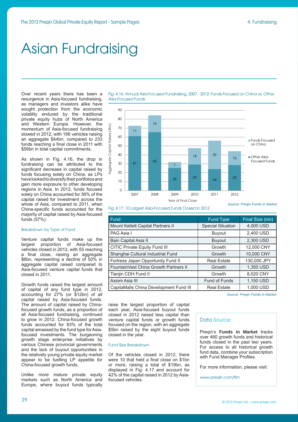# Asian Fundraising

Over recent years there has been a resurgence in Asia-focused fundraising, as managers and investors alike have sought protection from the economic volatility endured by the traditional private equity hubs of North America and Western Europe. However, the momentum of Asia-focused fundraising slowed in 2012, with 166 vehicles raising an aggregate \$44bn, compared to 233 funds reaching a final close in 2011 with \$56bn in total capital commitments.

As shown in Fig. 4.16, the drop in fundraising can be attributed to the significant decrease in capital raised by funds focusing solely on China, as LPs have looked to diversify their portfolios and gain more exposure to other developing regions in Asia. In 2012, funds focused solely on China accounted for 36% of the capital raised for investment across the whole of Asia, compared to 2011, when China-specific funds accounted for the majority of capital raised by Asia-focused funds (57%).

### Breakdown by Type of Fund

Venture capital funds make up the largest proportion of Asia-focused vehicles closed in 2012, with 55 reaching a final close, raising an aggregate \$6bn, representing a decline of 50% in aggregate capital raised compared to Asia-focused venture capital funds that closed in 2011.

Growth funds raised the largest amount of capital of any fund type in 2012, accounting for 27% (or \$12bn) of all capital raised by Asia-focused funds. The amount of capital raised by Chinafocused growth funds, as a proportion of all Asia-focused fundraising, continued to grow in 2012. China-focused growth funds accounted for 83% of the total capital amassed by the fund type for Asiafocused investments. The burgeoning growth stage enterprise initiatives by various Chinese provincial governments and the lack of buyout opportunities in the relatively young private equity market appear to be fuelling LP appetite for China-focused growth funds.

Unlike more mature private equity markets such as North America and Europe, where buyout funds typically





Fig. 4.17: 10 Largest Asia-Focused Funds Closed in 2012

| Fund                                   | <b>Fund Type</b>         | Final Size (mn) |
|----------------------------------------|--------------------------|-----------------|
| Mount Kellett Capital Partners II      | <b>Special Situation</b> | 4,000 USD       |
| PAG Asia I                             | <b>Buyout</b>            | 2,400 USD       |
| Bain Capital Asia II                   | <b>Buyout</b>            | 2,300 USD       |
| CITIC Private Equity Fund III          | Growth                   | 12,000 CNY      |
| Shanghai Cultural Industrial Fund      | Growth                   | 10,000 CNY      |
| Fortress Japan Opportunity Fund II     | <b>Real Estate</b>       | 130,000 JPY     |
| FountainVest China Growth Partners II  | Growth                   | 1,350 USD       |
| Tianjin CDH Fund II                    | Growth                   | 8,020 CNY       |
| Axiom Asia III                         | Fund of Funds            | 1,150 USD       |
| CapitaMalls China Development Fund III | <b>Real Estate</b>       | 1.000 USD       |

*Source: Preqin Funds in Market*

raise the largest proportion of capital each year, Asia-focused buyout funds closed in 2012 raised less capital than venture capital funds or growth funds focused on the region, with an aggregate \$5bn raised by the eight buyout funds closed in the year.

### Fund Size Breakdown

Of the vehicles closed in 2012, there were 10 that held a final close on \$1bn or more, raising a total of \$19bn, as displayed in Fig. 4.17 and account for 42% of the capital raised in 2012 by Asiafocused vehicles.

### Data Source:

Preqin's **Funds in Market** tracks over 460 growth funds and historical funds closed in the past two years. For access to all historical growth fund data, combine your subscription with Fund Manager Profiles.

For more information, please visit:

www.preqin.com/fim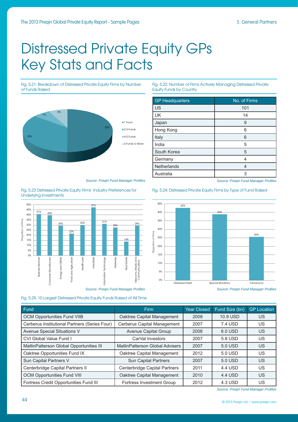# Distressed Private Equity GPs Key Stats and Facts

Fig. 5.21: Breakdown of Distressed Private Equity Firms by Number of Funds Raised



Fig. 5.23 Distressed Private Equity Firms' Industry Preferences for Underlying Investments



Fig. 5.25: 10 Largest Distressed Private Equity Funds Raised of All Time

## Fig. 5.22: Number of Firms Actively Managing Distressed Private Equity Funds by Country

| <b>GP Headquarters</b> | No. of Firms |
|------------------------|--------------|
| <b>US</b>              | 101          |
| <b>UK</b>              | 14           |
| Japan                  | 9            |
| Hong Kong              | 6            |
| Italy                  | 6            |
| India                  | 5            |
| South Korea            | 5            |
| Germany                | 4            |
| <b>Netherlands</b>     | 4            |
| Australia              | 3            |

*Source: Preqin Fund Manager Profi les Source: Preqin Fund Manager Profi les*

### Fig. 5.24: Distressed Private Equity Firms by Type of Fund Raised



| Fund                                          | <b>Firm</b>                            | <b>Year Closed</b> | Fund Size (bn) | <b>GP Location</b> |
|-----------------------------------------------|----------------------------------------|--------------------|----------------|--------------------|
| <b>OCM Opportunities Fund VIIB</b>            | Oaktree Capital Management             | 2008               | 10.9 USD       | US                 |
| Cerberus Institutional Partners (Series Four) | Cerberus Capital Management            | 2007               | 7.4 USD        | US                 |
| Avenue Special Situations V                   | Avenue Capital Group                   | 2008               | 6.0 USD        | US                 |
| CVI Global Value Fund I                       | CarVal Investors                       | 2007               | 5.8 USD        | US                 |
| MatlinPatterson Global Opportunities III      | <b>MatlinPatterson Global Advisers</b> | 2007               | 5.0 USD        | US                 |
| Oaktree Opportunities Fund IX                 | Oaktree Capital Management             | 2012               | 5.0 USD        | US                 |
| Sun Capital Partners V                        | Sun Capital Partners                   | 2007               | 5.0 USD        | <b>US</b>          |
| Centerbridge Capital Partners II              | Centerbridge Capital Partners          | 2011               | 4.4 USD        | US                 |
| <b>OCM Opportunities Fund VIII</b>            | Oaktree Capital Management             | 2010               | 4.4 USD        | US                 |
| Fortress Credit Opportunities Fund III        | <b>Fortress Investment Group</b>       | 2012               | 4.3 USD        | US                 |

**Source: Preqin Fund Manager Profiles**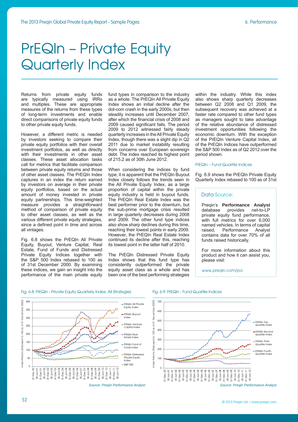# PrEQIn – Private Equity Quarterly Index

Returns from private equity funds are typically measured using IRRs and multiples. These are appropriate measures of the returns from these types of long-term investments and enable direct comparisons of private equity funds to other private equity funds.

However, a different metric is needed by investors seeking to compare their private equity portfolios with their overall investment portfolios, as well as directly with their investments in other asset classes. These asset allocation tasks call for metrics that facilitate comparison between private equity returns and those of other asset classes. The PrEQIn Index captures in an index the return earned by investors on average in their private equity portfolios, based on the actual amount of money invested in private equity partnerships. This time-weighted measure provides a straightforward method of comparison of private equity to other asset classes, as well as the various different private equity strategies, since a defined point in time and across all vintages.

Fig. 6.8 shows the PrEQIn All Private Equity, Buyout, Venture Capital, Real Estate, Fund of Funds and Distressed Private Equity Indices together with the S&P 500 Index rebased to 100 as of 31st December 2000. By examining these indices, we gain an insight into the performance of the main private equity

fund types in comparison to the industry as a whole. The PrEQIn All Private Equity Index shows an initial decline after the dot-com crash in the early 2000s, but then steadily increases until December 2007, after which the financial crisis of 2008 and 2009 caused significant falls. The period 2009 to 2012 witnessed fairly steady quarterly increases in the All Private Equity Index, though there was a slight dip in Q2 2011 due to market instability resulting from concerns over European sovereign debt. The index reached its highest point of 215.2 as of 30th June 2012.

When considering the indices by fund type, it is apparent that the PrEQIn Buyout Index closely follows the trends seen in the All Private Equity Index, as a large proportion of capital within the private equity industry is held in buyout funds. The PrEQIn Real Estate Index was the best performer prior to the downturn, but the sub-prime mortgage crisis resulted in large quarterly decreases during 2008 and 2009. The other fund type indices also show sharp declines during this time, reaching their lowest points in early 2009. However, the PrEQIn Real Estate Index continued its decline after this, reaching its lowest point in the latter half of 2010.

The PrEQIn Distressed Private Equity Index shows that this fund type has consistently outperformed the private equity asset class as a whole and has been one of the best performing strategies

within the industry. While this index also shows sharp quarterly decreases between Q2 2008 and Q1 2009, the subsequent recovery was achieved at a faster rate compared to other fund types as managers sought to take advantage of the relative abundance of distressed investment opportunities following the economic downturn. With the exception of the PrEQIn Venture Capital Index, all of the PrEQIn Indices have outperformed the S&P 500 Index as of Q2 2012 over the period shown.

#### PrEQIn – Fund Quartile Indices

Fig. 6.9 shows the PrEQIn Private Equity Quarterly Index rebased to 100 as of 31st

### Data Source:

Preqin's **Performance Analyst** database provides net-to-LP private equity fund performance, with full metrics for over 6,000 named vehicles. In terms of capital raised, Performance Analyst contains data for over 70% of all funds raised historically.

For more information about this product and how it can assist you, please visit:

www.preqin.com/pa











52 © 2013 Preqin Ltd. / www.preqin.com

December 2000)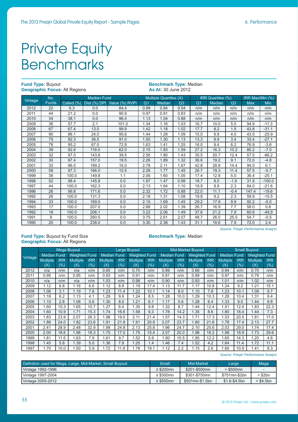# Private Equity Benchmarks

| <b>Fund Type: Buyout</b><br><b>Benchmark Type: Median</b><br><b>Geographic Focus: All Regions</b><br><b>As At: 30 June 2012</b> |              |            |                    |                |                |                        |      |                |                   |        |            |                 |  |
|---------------------------------------------------------------------------------------------------------------------------------|--------------|------------|--------------------|----------------|----------------|------------------------|------|----------------|-------------------|--------|------------|-----------------|--|
|                                                                                                                                 | No.          |            | <b>Median Fund</b> |                |                | Multiple Quartiles (X) |      |                | IRR Quartiles (%) |        |            | IRR Max/Min (%) |  |
| Vintage                                                                                                                         | <b>Funds</b> | Called (%) | Dist (%) DPI       | Value (%) RVPI | Q <sub>1</sub> | Median                 | Q3   | Q <sub>1</sub> | Median            | Q3     | <b>Max</b> | Min             |  |
| 2012                                                                                                                            | 22           | 6.3        | 0.0                | 84.4           | 0.99           | 0.84                   | 0.54 | n/m            | n/m               | n/m    | n/m        | n/m             |  |
| 2011                                                                                                                            | 44           | 21.2       | 0.0                | 90.9           | 0.97           | 0.91                   | 0.83 | n/m            | n/m               | n/m    | n/m        | n/m             |  |
| 2010                                                                                                                            | 34           | 38.1       | 0.0                | 96.4           | 1.13           | 1.04                   | 0.88 | n/m            | n/m               | n/m    | n/m        | n/m             |  |
| 2009                                                                                                                            | 36           | 57.7       | 2.1                | 101.0          | 1.34           | 1.16                   | 1.03 | 16.7           | 10.0              | 5.5    | 94.9       | $-11.3$         |  |
| 2008                                                                                                                            | 67           | 67.4       | 13.0               | 99.9           | 1.42           | 1.18                   | 1.02 | 17.7           | 8.2               | 1.5    | 43.8       | $-31.1$         |  |
| 2007                                                                                                                            | 90           | 86.1       | 24.0               | 95.6           | 1.44           | 1.28                   | 1.09 | 15.0           | 9.9               | 4.0    | 43.0       | $-25.9$         |  |
| 2006                                                                                                                            | 75           | 92.3       | 36.5               | 91.0           | 1.50           | 1.30                   | 1.13 | 13.3           | 8.9               | 3.4    | 33.4       | $-27.1$         |  |
| 2005                                                                                                                            | 78           | 95.2       | 67.0               | 72.8           | 1.63           | 1.41                   | 1.25 | 16.0           | 9.4               | 6.2    | 76.9       | $-3.6$          |  |
| 2004                                                                                                                            | 39           | 92.6       | 119.0              | 62.0           | 2.15           | 1.83                   | 1.59 | 27.2           | 16.3              | 10.2   | 80.2       | $-7.0$          |  |
| 2003                                                                                                                            | 32           | 97.0       | 143.8              | 39.5           | 2.56           | 1.80                   | 1.43 | 35.5           | 20.7              | 12.4   | 57.5       | $-86.2$         |  |
| 2002                                                                                                                            | 30           | 97.4       | 157.0              | 19.5           | 2.26           | 1.89                   | 1.32 | 36.6           | 19.2              | 9.1    | 72.0       | $-4.8$          |  |
| 2001                                                                                                                            | 32           | 96.0       | 189.2              | 16.0           | 2.78           | 2.11                   | 1.67 | 42.8           | 28.8              | 14.4   | 94.0       | 6.1             |  |
| 2000                                                                                                                            | 58           | 97.3       | 166.0              | 10.5           | 2.28           | 1.77                   | 1.45 | 26.7           | 19.3              | 11.4   | 57.5       | $-5.7$          |  |
| 1999                                                                                                                            | 38           | 100.0      | 149.8              | 1.1            | 2.06           | 1.60                   | 1.05 | 17.4           | 12.8              | 5.0    | 36.4       | $-25.1$         |  |
| 1998                                                                                                                            | 52           | 98.4       | 145.8              | 0.0            | 1.97           | 1.47                   | 0.98 | 18.7           | 8.5               | $-1.9$ | 31.9       | $-100.0$        |  |
| 1997                                                                                                                            | 44           | 100.0      | 162.3              | 0.0            | 2.13           | 1.64                   | 1.10 | 19.9           | 9.9               | 2.3    | 84.0       | $-21.6$         |  |
| 1996                                                                                                                            | 26           | 99.8       | 171.6              | 0.0            | 2.32           | 1.72                   | 0.88 | 22.0           | 11.1              | $-0.4$ | 147.4      | $-19.6$         |  |
| 1995                                                                                                                            | 26           | 100.0      | 131.3              | 0.0            | 2.18           | 1.31                   | 1.08 | 19.8           | 9.2               | 2.3    | 59.9       | $-15.5$         |  |
| 1994                                                                                                                            | 33           | 100.0      | 169.0              | 0.0            | 2.15           | 1.69                   | 1.45 | 29.2           | 17.9              | 9.9    | 92.2       | $-5.0$          |  |
| 1993                                                                                                                            | 17           | 100.0      | 207.0              | 0.0            | 2.88           | 2.02                   | 1.39 | 26.7           | 16.9              | 7.7    | 58.0       | 0.8             |  |
| 1992                                                                                                                            | 18           | 100.0      | 206.1              | 0.0            | 3.22           | 2.06                   | 1.49 | 37.6           | 21.2              | 7.9    | 60.6       | $-49.9$         |  |
| 1991                                                                                                                            | 9            | 100.0      | 260.5              | 0.0            | 3.75           | 2.61                   | 2.07 | 48.7           | 26.0              | 25.0   | 54.7       | $-0.5$          |  |
| 1990                                                                                                                            | 20           | 100.0      | 238.0              | 0.0            | 3.30           | 2.38                   | 1.43 | 31.1           | 18.6              | 7.9    | 72.0       | 2.4             |  |

# **Fund Type:** Buyout by Fund Size **Geographic Focus:** All Regions

### **Benchmark Type:** Median

|         | <b>Mega Buyout</b> |            |                      | Large Buyout |                    |            |                      | <b>Mid-Market Buyout</b> |                    |            |                      | <b>Small Buyout</b> |                    |            |                      |            |
|---------|--------------------|------------|----------------------|--------------|--------------------|------------|----------------------|--------------------------|--------------------|------------|----------------------|---------------------|--------------------|------------|----------------------|------------|
|         | <b>Median Fund</b> |            | <b>Weighted Fund</b> |              | <b>Median Fund</b> |            | <b>Weighted Fund</b> |                          | <b>Median Fund</b> |            | <b>Weighted Fund</b> |                     | <b>Median Fund</b> |            | <b>Weighted Fund</b> |            |
| Vintage | <b>Multiple</b>    | <b>IRR</b> | <b>Multiple</b>      | <b>IRR</b>   | <b>Multiple</b>    | <b>IRR</b> | <b>Multiple</b>      | <b>IRR</b>               | <b>Multiple</b>    | <b>IRR</b> | <b>Multiple</b>      | <b>IRR</b>          | <b>Multiple</b>    | <b>IRR</b> | <b>Multiple</b>      | <b>IRR</b> |
|         | $(\mathsf{X})$     | (%)        | (X)                  | $(\% )$      | $(\mathsf{X})$     | (%)        | (X)                  | (%)                      | $(\mathsf{X})$     | (%)        | (X)                  | (%)                 | (X)                | (%)        | (X)                  | $(\% )$    |
| 2012    | n/a                | n/m        | n/a                  | n/m          | 0.60               | n/m        | 0.70                 | n/m                      | 0.89               | n/m        | 0.66                 | n/m                 | 0.84               | n/m        | 0.70                 | n/m        |
| 2011    | 0.95               | n/m        | 0.95                 | n/m          | 0.93               | n/m        | 0.91                 | n/m                      | 0.91               | n/m        | 0.89                 | n/m                 | 0.87               | n/m        | 0.79                 | n/m        |
| 2010    | n/a                | n/m        | n/a                  | n/m          | 1.03               | n/m        | 0.98                 | n/m                      | 0.90               | n/m        | 0.93                 | n/m                 | 1.01               | n/m        | 1.02                 | n/m        |
| 2009    | 1.12               | 6.8        | 1.16                 | 6.6          | 1.12               | 8.8        | 1.19                 | 17.4                     | 1.13               | 11.7       | 1.17                 | 10.8                | 1.24               | 9.2        | 1.21                 | 15.1       |
| 2008    | 1.06               | 3.1        | 1.19                 | 7.8          | 1.23               | 11.4       | 1.22                 | 10.1                     | 1.14               | 8.0        | 1.10                 | 7.8                 | 1.23               | 10.1       | 1.09                 | 9.7        |
| 2007    | 1.18               | 6.2        | 1.13                 | 4.1          | 1.29               | 9.9        | 1.24                 | 8.5                      | 1.28               | 10.0       | 1.29                 | 10.3                | 1.28               | 10.4       | 1.31                 | 9.4        |
| 2006    | 1.10               | 2.8        | 1.08                 | 0.6          | 1.30               | 8.0        | 1.21                 | 6.1                      | 1.17               | 5.6        | 1.28                 | 6.4                 | 1.33               | 9.0        | 1.44                 | 9.8        |
| 2005    | .60                | 10.3       | 1.65                 | 10.7         | 1.27               | 6.4        | 1.35                 | 9.8                      | 1.32               | 8.7        | 1.44                 | 12.4                | 1.51               | 12.4       | 1.83                 | 22.3       |
| 2004    | .60                | 10.9       | 1.71                 | 15.3         | 1.74               | 16.6       | 1.58                 | 9.3                      | 1.78               | 14.2       | 1.35                 | 8.6                 | 1.80               | 18.4       | 1.44                 | 7.3        |
| 2003    | 1.83               | 23.9       | 2.07                 | 26.3         | 1.98               | 19.0       | 2.11                 | 21.4                     | 1.57               | 14.3       | 1.71                 | 17.3                | 1.53               | 20.5       | 1.81                 | 17.0       |
| 2002    | 1.86               | 24.0       | 1.82                 | 23.6         | 1.91               | 21.9       | 1.91                 | 20.9                     | 2.07               | 23.7       | 1.80                 | 21.6                | 1.78               | 17.4       | 2.13                 | 27.7       |
| 2001    | 2.41               | 28.9       | 2.48                 | 32.9         | 1.99               | 24.8       | 2.13                 | 25.8                     | 1.96               | 24.7       | 2.10                 | 25.6                | 2.03               | 29.0       | 1.74                 | 17.4       |
| 2000    | 2.00               | 18.6       | 1.98                 | 18.3         | 1.75               | 17.0       | 1.75                 | 15.4                     | 2.07               | 20.0       | 1.98                 | 18.2                | 1.98               | 18.9       | 1.73                 | 29.6       |
| 1999    | l.81               | 11.5       | 1.63                 | 7.9          | 1.61               | 9.7        | 1.52                 | 5.9                      | 1.90               | 10.5       | 1.95                 | 12.2                | 1.65               | 14.3       | 1.20                 | 4.6        |
| 1998    | .45                | 5.8        | 1.39                 | 5.0          | 1.36               | 7.9        | 1.25                 | 1.4                      | 1.46               | 7.4        | 1.52                 | 4.2                 | 1.64               | 11.4       | 1.72                 | 11.1       |
| 1997    | 1.70               | 10.0       | 1.50                 | 5.9          | 1.72               | 11.8       | 1.78                 | 19.1                     | 1.12               | 2.2        | 1.15                 | 2.6                 | 1.60               | 10.9       | 1.41                 | 8.3        |

*Source: Preqin Performance Analyst*

*Source: Preqin Performance Analyst*

| Definition used for Mega, Large, Mid-Market, Small Buyout: | Small          | Mid-Market      | Large          | <b>Mega</b> |
|------------------------------------------------------------|----------------|-----------------|----------------|-------------|
| Vintage 1992-1996                                          | $\leq$ \$200mn | \$201-\$500mn   | $>$ \$500 $mn$ |             |
| Vintage 1997-2004                                          | $\leq$ \$300mn | \$301-\$750mn   | \$751mn-\$2bn  | $>$ \$2bn   |
| Vintage 2005-2012                                          | $\leq$ \$500mn | \$501mn-\$1.5bn | \$1.6-\$4.5bn  | > \$4.5bn   |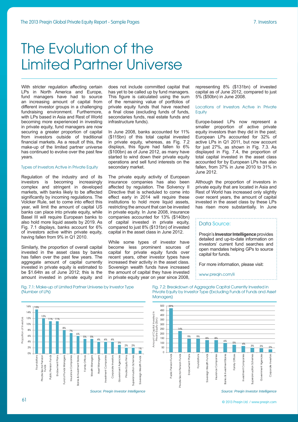# The Evolution of the Limited Partner Universe

With stricter regulation affecting certain LPs in North America and Europe, fund managers have had to source an increasing amount of capital from different investor groups in a challenging fundraising environment. Furthermore, with LPs based in Asia and Rest of World becoming more experienced in investing in private equity, fund managers are now securing a greater proportion of capital from investors outside of traditional financial markets. As a result of this, the make-up of the limited partner universe has continued to evolve over the past few years.

### Types of Investors Active in Private Equity

Regulation of the industry and of its investors is becoming increasingly complex and stringent in developed markets, with banks likely to be affected significantly by incoming regulations. The Volcker Rule, set to come into effect this year, will limit the amount of capital US banks can place into private equity, while Basel III will require European banks to also hold more liquid assets by 2019. As Fig. 7.1 displays, banks account for 6% of investors active within private equity, having fallen from 9% in Q1 2010.

Similarly, the proportion of overall capital invested in the asset class by banks has fallen over the past few years. The aggregate amount of capital currently invested in private equity is estimated to be \$1.64tn as of June 2012; this is the amount invested in private equity and

Fig. 7.1: Make-up of Limited Partner Universe by Investor Type (Number of LPs)

16% 15% 14% 12% 12% Proportion of Investors Proportion of Investors 11% 11% 10% 8% 8% 7% 6%  $6%$ 5% 5% 4% 4% 4% 4% 3% 2% 2%  $2<sup>2</sup>$ 1% ۳ 0% Private Sector Pension Public Pension Funds Fund of Funds Managers Banks & Investment Banks **Neath Managers** Corporate Investors Private Equity Firms coundations Foundations Private Sector Pension Public Pension Funds Endowment Plans Endowment Plans Fund of Funds Managers Insurance Companies Insurance Companies Banks & Investment Banks Family Offices Family Offices Weath Managers Asset Managers Asset Managers nvestment Companies Investment Companies Corporate Investors vernment Agencies Government Agencies Private Equity Firms superannuation Schemes Superannuation Schemes Sovereign Weath Funds Sovereign Wealth Funds Funds  $\tilde{\epsilon}$ 

does not include committed capital that has yet to be called up by fund managers. This figure is calculated using the sum of the remaining value of portfolios of private equity funds that have reached a final close (excluding funds of funds, secondaries funds, real estate funds and infrastructure funds).

In June 2008, banks accounted for 11% (\$115bn) of this total capital invested in private equity, whereas, as Fig. 7.2 displays, this figure had fallen to  $6\%$ (\$100bn) as of June 2012, as many have started to wind down their private equity operations and sell fund interests on the secondary market.

The private equity activity of European insurance companies has also been affected by regulation. The Solvency II Directive that is scheduled to come into effect early in 2014 will require these institutions to hold more liquid assets, restricting the amount that can be invested in private equity. In June 2008, insurance companies accounted for 13% (\$140bn) of capital invested in private equity, compared to just 8% (\$131bn) of invested capital in the asset class in June 2012.

While some types of investor have become less prominent sources of capital for private equity funds over recent years, other investor types have increased their activity in the asset class. Sovereign wealth funds have increased the amount of capital they have invested in private equity year on year since 2008, representing 8% (\$131bn) of invested capital as of June 2012, compared to just 5% (\$50bn) in June 2008.

Locations of Investors Active in Private **Equity** 

Europe-based LPs now represent a smaller proportion of active private equity investors than they did in the past; European LPs accounted for 32% of active LPs in Q1 2011, but now account for just 27%, as shown in Fig. 7.3. As displayed in Fig. 7.4, the proportion of total capital invested in the asset class accounted for by European LPs has also fallen, from 37% in June 2010 to 31% in June 2012.

Although the proportion of investors in private equity that are located in Asia and Rest of World has increased only slightly over recent years, the amount of capital invested in the asset class by these LPs has risen more substantially. In June

### Data Source:

Preqin's **Investor Intelligence** provides detailed and up-to-date information on investors' current fund searches and open mandates helping GPs to source capital for funds.

For more information, please visit:

# www.preqin.com/ii

Fig. 7.2: Breakdown of Aggregate Capital Currently Invested in Private Equity by Investor Type (Excluding Funds of Funds and Asset Managers)



*Source: Preqin Investor Intelligence*

*Source: Preqin Investor Intelligence*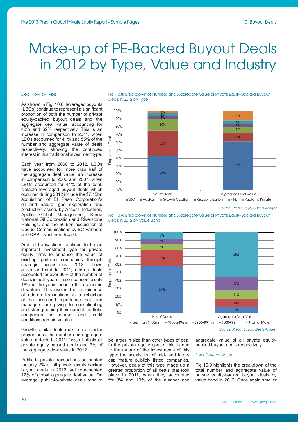# Make-up of PE-Backed Buyout Deals in 2012 by Type, Value and Industry

#### Deal Flow by Type

As shown in Fig. 10.8, leveraged buyouts (LBOs) continue to represent a significant proportion of both the number of private equity-backed buyout deals and the aggregate deal value, accounting for 43% and 62% respectively. This is an increase in comparison to 2011, when LBOs accounted for 41% and 55% of the number and aggregate value of deals respectively, showing the continued interest in this traditional investment type.

Each year from 2008 to 2012, LBOs have accounted for more than half of the aggregate deal value, an increase in comparison to 2006 and 2007, when LBOs accounted for 41% of the total. Notable leveraged buyout deals which occurred during 2012 include the \$7.15bn acquisition of El Paso Corporation's oil and natural gas exploration and production assets by Access Industries, Apollo Global Management, Korea National Oil Corporation and Riverstone Holdings, and the \$6.6bn acquisition of Cequel Communications by BC Partners and CPP Investment Board.

Add-on transactions continue to be an important investment type for private equity firms to enhance the value of existing portfolio companies through strategic acquisitions. 2012 follows a similar trend to 2011; add-on deals accounted for over 30% of the number of deals in both years, in comparison to only 18% in the years prior to the economic downturn. This rise in the prominence of add-on transactions is a reflection of the increased importance that fund managers are giving to consolidating and strengthening their current portfolio companies as market and credit conditions remain volatile.

Growth capital deals make up a similar proportion of the number and aggregate value of deals to 2011: 15% of all global private equity-backed deals and 7% of the aggregate deal value in 2012.

Public-to-private transactions accounted for only 2% of all private equity-backed buyout deals in 2012, yet represented 12% of global aggregate deal value. On average, public-to-private deals tend to

Fig. 10.8: Breakdown of Number and Aggregate Value of Private Equity-Backed Buyout Deals in 2012 by Type



*Source: Preqin Buyout Deals Analyst*

Fig. 10.9: Breakdown of Number and Aggregate Value of Private Equity-Backed Buyout



*Source: Preqin Buyout Deals Analyst*

be larger in size than other types of deal in the private equity space; this is due to the nature of the investments of this type: the acquisition of mid- and largecap mature publicly listed companies. However, deals of this type made up a greater proportion of all deals that took place in 2011, when they accounted for 3% and 19% of the number and

aggregate value of all private equitybacked buyout deals respectively.

#### Deal Flow by Value

Fig 10.9 highlights the breakdown of the total number and aggregate value of private equity-backed buyout deals by value band in 2012. Once again smaller